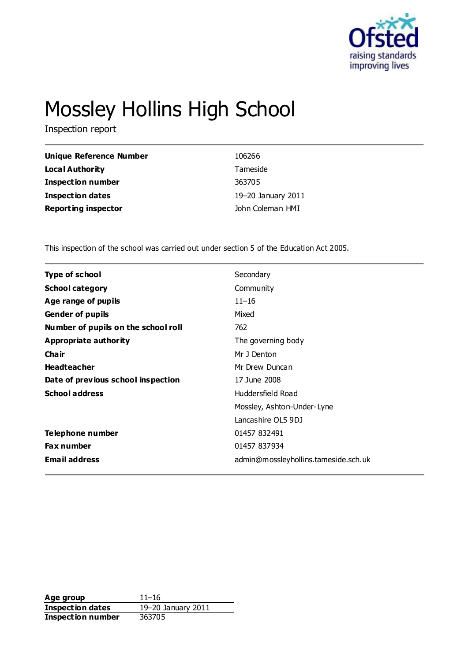

# Mossley Hollins High School

Inspection report

| Unique Reference Number    | 106266             |
|----------------------------|--------------------|
| Local Authority            | Tameside           |
| <b>Inspection number</b>   | 363705             |
| Inspection dates           | 19-20 January 2011 |
| <b>Reporting inspector</b> | John Coleman HMI   |

This inspection of the school was carried out under section 5 of the Education Act 2005.

| <b>Type of school</b><br>Secondary<br><b>School category</b><br>Community<br>$11 - 16$<br>Age range of pupils<br><b>Gender of pupils</b><br>Mixed<br>Number of pupils on the school roll<br>762<br>Appropriate authority<br>The governing body<br>Cha ir<br>Mr J Denton<br><b>Headteacher</b><br>Mr Drew Duncan<br>Date of previous school inspection<br>17 June 2008<br><b>School address</b><br>Huddersfield Road<br>Mossley, Ashton-Under-Lyne<br>Lancashire OL5 9DJ<br>Telephone number<br>01457 832491<br><b>Fax number</b><br>01457 837934 |  |
|--------------------------------------------------------------------------------------------------------------------------------------------------------------------------------------------------------------------------------------------------------------------------------------------------------------------------------------------------------------------------------------------------------------------------------------------------------------------------------------------------------------------------------------------------|--|
|                                                                                                                                                                                                                                                                                                                                                                                                                                                                                                                                                  |  |
|                                                                                                                                                                                                                                                                                                                                                                                                                                                                                                                                                  |  |
|                                                                                                                                                                                                                                                                                                                                                                                                                                                                                                                                                  |  |
|                                                                                                                                                                                                                                                                                                                                                                                                                                                                                                                                                  |  |
|                                                                                                                                                                                                                                                                                                                                                                                                                                                                                                                                                  |  |
|                                                                                                                                                                                                                                                                                                                                                                                                                                                                                                                                                  |  |
|                                                                                                                                                                                                                                                                                                                                                                                                                                                                                                                                                  |  |
|                                                                                                                                                                                                                                                                                                                                                                                                                                                                                                                                                  |  |
|                                                                                                                                                                                                                                                                                                                                                                                                                                                                                                                                                  |  |
|                                                                                                                                                                                                                                                                                                                                                                                                                                                                                                                                                  |  |
|                                                                                                                                                                                                                                                                                                                                                                                                                                                                                                                                                  |  |
|                                                                                                                                                                                                                                                                                                                                                                                                                                                                                                                                                  |  |
|                                                                                                                                                                                                                                                                                                                                                                                                                                                                                                                                                  |  |
|                                                                                                                                                                                                                                                                                                                                                                                                                                                                                                                                                  |  |
| <b>Email address</b><br>admin@mossleyhollins.tameside.sch.uk                                                                                                                                                                                                                                                                                                                                                                                                                                                                                     |  |

**Age group** 11–16<br> **Inspection dates** 19–20 January 2011 **Inspection dates Inspection number** 363705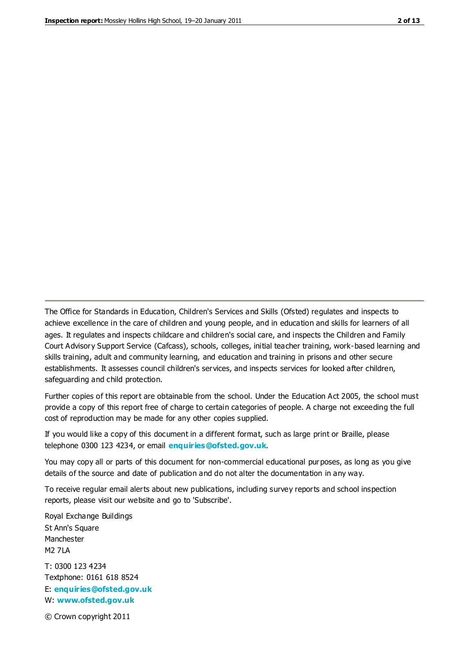The Office for Standards in Education, Children's Services and Skills (Ofsted) regulates and inspects to achieve excellence in the care of children and young people, and in education and skills for learners of all ages. It regulates and inspects childcare and children's social care, and inspects the Children and Family Court Advisory Support Service (Cafcass), schools, colleges, initial teacher training, work-based learning and skills training, adult and community learning, and education and training in prisons and other secure establishments. It assesses council children's services, and inspects services for looked after children, safeguarding and child protection.

Further copies of this report are obtainable from the school. Under the Education Act 2005, the school must provide a copy of this report free of charge to certain categories of people. A charge not exceeding the full cost of reproduction may be made for any other copies supplied.

If you would like a copy of this document in a different format, such as large print or Braille, please telephone 0300 123 4234, or email **[enquiries@ofsted.gov.uk](mailto:enquiries@ofsted.gov.uk)**.

You may copy all or parts of this document for non-commercial educational purposes, as long as you give details of the source and date of publication and do not alter the documentation in any way.

To receive regular email alerts about new publications, including survey reports and school inspection reports, please visit our website and go to 'Subscribe'.

Royal Exchange Buildings St Ann's Square Manchester M2 7LA T: 0300 123 4234 Textphone: 0161 618 8524 E: **[enquiries@ofsted.gov.uk](mailto:enquiries@ofsted.gov.uk)**

W: **[www.ofsted.gov.uk](http://www.ofsted.gov.uk/)**

© Crown copyright 2011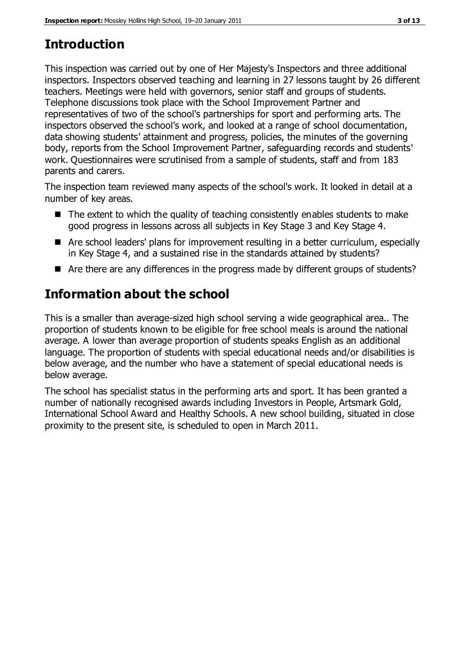# **Introduction**

This inspection was carried out by one of Her Majesty's Inspectors and three additional inspectors. Inspectors observed teaching and learning in 27 lessons taught by 26 different teachers. Meetings were held with governors, senior staff and groups of students. Telephone discussions took place with the School Improvement Partner and representatives of two of the school's partnerships for sport and performing arts. The inspectors observed the school's work, and looked at a range of school documentation, data showing students' attainment and progress, policies, the minutes of the governing body, reports from the School Improvement Partner, safeguarding records and students' work. Questionnaires were scrutinised from a sample of students, staff and from 183 parents and carers.

The inspection team reviewed many aspects of the school's work. It looked in detail at a number of key areas.

- $\blacksquare$  The extent to which the quality of teaching consistently enables students to make good progress in lessons across all subjects in Key Stage 3 and Key Stage 4.
- Are school leaders' plans for improvement resulting in a better curriculum, especially in Key Stage 4, and a sustained rise in the standards attained by students?
- Are there are any differences in the progress made by different groups of students?

# **Information about the school**

This is a smaller than average-sized high school serving a wide geographical area.. The proportion of students known to be eligible for free school meals is around the national average. A lower than average proportion of students speaks English as an additional language. The proportion of students with special educational needs and/or disabilities is below average, and the number who have a statement of special educational needs is below average.

The school has specialist status in the performing arts and sport. It has been granted a number of nationally recognised awards including Investors in People, Artsmark Gold, International School Award and Healthy Schools. A new school building, situated in close proximity to the present site, is scheduled to open in March 2011.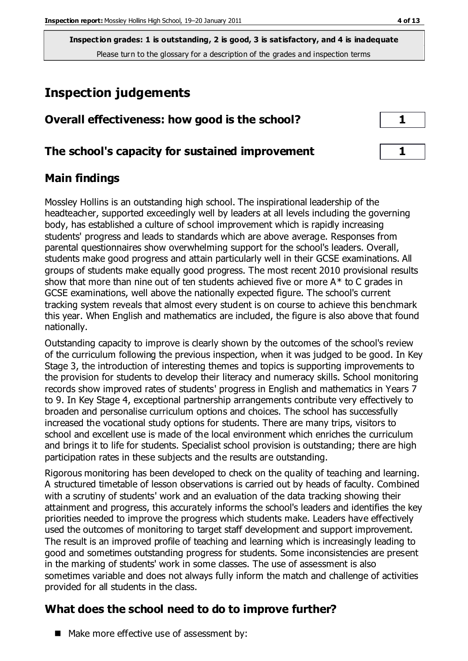# **Inspection judgements**

| Overall effectiveness: how good is the school? |  |
|------------------------------------------------|--|
|------------------------------------------------|--|

#### **The school's capacity for sustained improvement 1**

#### **Main findings**

Mossley Hollins is an outstanding high school. The inspirational leadership of the headteacher, supported exceedingly well by leaders at all levels including the governing body, has established a culture of school improvement which is rapidly increasing students' progress and leads to standards which are above average. Responses from parental questionnaires show overwhelming support for the school's leaders. Overall, students make good progress and attain particularly well in their GCSE examinations. All groups of students make equally good progress. The most recent 2010 provisional results show that more than nine out of ten students achieved five or more  $A^*$  to C grades in GCSE examinations, well above the nationally expected figure. The school's current tracking system reveals that almost every student is on course to achieve this benchmark this year. When English and mathematics are included, the figure is also above that found nationally.

Outstanding capacity to improve is clearly shown by the outcomes of the school's review of the curriculum following the previous inspection, when it was judged to be good. In Key Stage 3, the introduction of interesting themes and topics is supporting improvements to the provision for students to develop their literacy and numeracy skills. School monitoring records show improved rates of students' progress in English and mathematics in Years 7 to 9. In Key Stage 4, exceptional partnership arrangements contribute very effectively to broaden and personalise curriculum options and choices. The school has successfully increased the vocational study options for students. There are many trips, visitors to school and excellent use is made of the local environment which enriches the curriculum and brings it to life for students. Specialist school provision is outstanding; there are high participation rates in these subjects and the results are outstanding.

Rigorous monitoring has been developed to check on the quality of teaching and learning. A structured timetable of lesson observations is carried out by heads of faculty. Combined with a scrutiny of students' work and an evaluation of the data tracking showing their attainment and progress, this accurately informs the school's leaders and identifies the key priorities needed to improve the progress which students make. Leaders have effectively used the outcomes of monitoring to target staff development and support improvement. The result is an improved profile of teaching and learning which is increasingly leading to good and sometimes outstanding progress for students. Some inconsistencies are present in the marking of students' work in some classes. The use of assessment is also sometimes variable and does not always fully inform the match and challenge of activities provided for all students in the class.

### **What does the school need to do to improve further?**

■ Make more effective use of assessment by: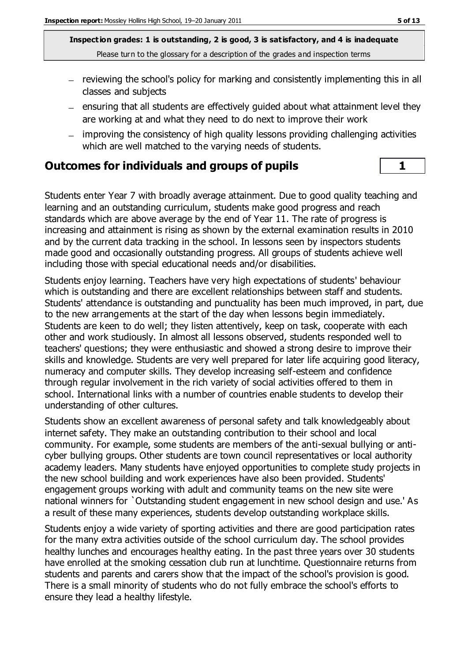- reviewing the school's policy for marking and consistently implementing this in all classes and subjects
- $-$  ensuring that all students are effectively guided about what attainment level they are working at and what they need to do next to improve their work
- improving the consistency of high quality lessons providing challenging activities which are well matched to the varying needs of students.

#### **Outcomes for individuals and groups of pupils 1**

Students enter Year 7 with broadly average attainment. Due to good quality teaching and learning and an outstanding curriculum, students make good progress and reach standards which are above average by the end of Year 11. The rate of progress is increasing and attainment is rising as shown by the external examination results in 2010 and by the current data tracking in the school. In lessons seen by inspectors students made good and occasionally outstanding progress. All groups of students achieve well including those with special educational needs and/or disabilities.

Students enjoy learning. Teachers have very high expectations of students' behaviour which is outstanding and there are excellent relationships between staff and students. Students' attendance is outstanding and punctuality has been much improved, in part, due to the new arrangements at the start of the day when lessons begin immediately. Students are keen to do well; they listen attentively, keep on task, cooperate with each other and work studiously. In almost all lessons observed, students responded well to teachers' questions; they were enthusiastic and showed a strong desire to improve their skills and knowledge. Students are very well prepared for later life acquiring good literacy, numeracy and computer skills. They develop increasing self-esteem and confidence through regular involvement in the rich variety of social activities offered to them in school. International links with a number of countries enable students to develop their understanding of other cultures.

Students show an excellent awareness of personal safety and talk knowledgeably about internet safety. They make an outstanding contribution to their school and local community. For example, some students are members of the anti-sexual bullying or anticyber bullying groups. Other students are town council representatives or local authority academy leaders. Many students have enjoyed opportunities to complete study projects in the new school building and work experiences have also been provided. Students' engagement groups working with adult and community teams on the new site were national winners for `Outstanding student engagement in new school design and use.' As a result of these many experiences, students develop outstanding workplace skills.

Students enjoy a wide variety of sporting activities and there are good participation rates for the many extra activities outside of the school curriculum day. The school provides healthy lunches and encourages healthy eating. In the past three years over 30 students have enrolled at the smoking cessation club run at lunchtime. Questionnaire returns from students and parents and carers show that the impact of the school's provision is good. There is a small minority of students who do not fully embrace the school's efforts to ensure they lead a healthy lifestyle.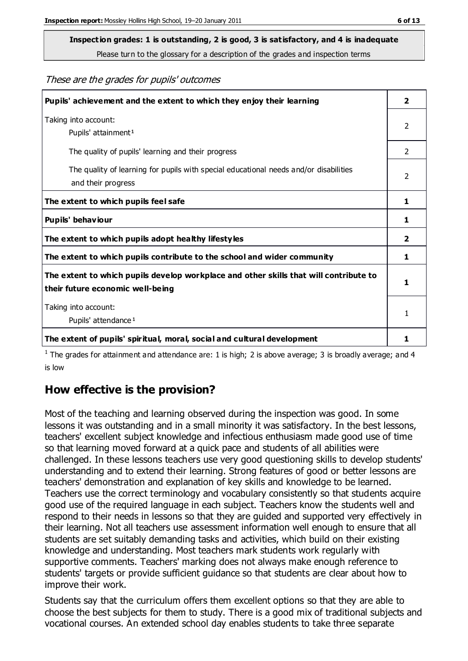# **Inspection grades: 1 is outstanding, 2 is good, 3 is satisfactory, and 4 is inadequate**

Please turn to the glossary for a description of the grades and inspection terms

These are the grades for pupils' outcomes

| Pupils' achievement and the extent to which they enjoy their learning                                                     | $\overline{\mathbf{2}}$ |
|---------------------------------------------------------------------------------------------------------------------------|-------------------------|
| Taking into account:<br>Pupils' attainment <sup>1</sup>                                                                   | 2                       |
| The quality of pupils' learning and their progress                                                                        | $\mathfrak{D}$          |
| The quality of learning for pupils with special educational needs and/or disabilities<br>and their progress               | $\overline{2}$          |
| The extent to which pupils feel safe                                                                                      | 1                       |
| Pupils' behaviour                                                                                                         |                         |
| The extent to which pupils adopt healthy lifestyles                                                                       | $\overline{\mathbf{2}}$ |
| The extent to which pupils contribute to the school and wider community                                                   | 1                       |
| The extent to which pupils develop workplace and other skills that will contribute to<br>their future economic well-being | 1                       |
| Taking into account:                                                                                                      |                         |
| Pupils' attendance <sup>1</sup>                                                                                           | 1                       |
| The extent of pupils' spiritual, moral, social and cultural development                                                   | 1                       |

<sup>1</sup> The grades for attainment and attendance are: 1 is high; 2 is above average; 3 is broadly average; and 4 is low

#### **How effective is the provision?**

Most of the teaching and learning observed during the inspection was good. In some lessons it was outstanding and in a small minority it was satisfactory. In the best lessons, teachers' excellent subject knowledge and infectious enthusiasm made good use of time so that learning moved forward at a quick pace and students of all abilities were challenged. In these lessons teachers use very good questioning skills to develop students' understanding and to extend their learning. Strong features of good or better lessons are teachers' demonstration and explanation of key skills and knowledge to be learned. Teachers use the correct terminology and vocabulary consistently so that students acquire good use of the required language in each subject. Teachers know the students well and respond to their needs in lessons so that they are guided and supported very effectively in their learning. Not all teachers use assessment information well enough to ensure that all students are set suitably demanding tasks and activities, which build on their existing knowledge and understanding. Most teachers mark students work regularly with supportive comments. Teachers' marking does not always make enough reference to students' targets or provide sufficient guidance so that students are clear about how to improve their work.

Students say that the curriculum offers them excellent options so that they are able to choose the best subjects for them to study. There is a good mix of traditional subjects and vocational courses. An extended school day enables students to take three separate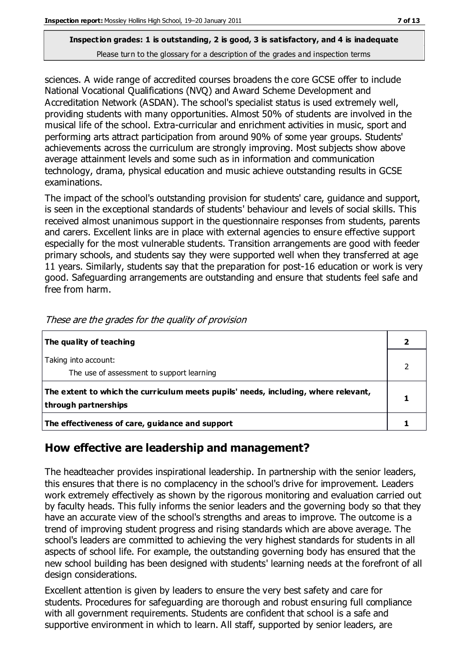sciences. A wide range of accredited courses broadens the core GCSE offer to include National Vocational Qualifications (NVQ) and Award Scheme Development and Accreditation Network (ASDAN). The school's specialist status is used extremely well, providing students with many opportunities. Almost 50% of students are involved in the musical life of the school. Extra-curricular and enrichment activities in music, sport and performing arts attract participation from around 90% of some year groups. Students' achievements across the curriculum are strongly improving. Most subjects show above average attainment levels and some such as in information and communication technology, drama, physical education and music achieve outstanding results in GCSE examinations.

The impact of the school's outstanding provision for students' care, guidance and support, is seen in the exceptional standards of students' behaviour and levels of social skills. This received almost unanimous support in the questionnaire responses from students, parents and carers. Excellent links are in place with external agencies to ensure effective support especially for the most vulnerable students. Transition arrangements are good with feeder primary schools, and students say they were supported well when they transferred at age 11 years. Similarly, students say that the preparation for post-16 education or work is very good. Safeguarding arrangements are outstanding and ensure that students feel safe and free from harm.

| The quality of teaching                                                                                    |  |
|------------------------------------------------------------------------------------------------------------|--|
| Taking into account:<br>The use of assessment to support learning                                          |  |
| The extent to which the curriculum meets pupils' needs, including, where relevant,<br>through partnerships |  |
| The effectiveness of care, guidance and support                                                            |  |

These are the grades for the quality of provision

#### **How effective are leadership and management?**

The headteacher provides inspirational leadership. In partnership with the senior leaders, this ensures that there is no complacency in the school's drive for improvement. Leaders work extremely effectively as shown by the rigorous monitoring and evaluation carried out by faculty heads. This fully informs the senior leaders and the governing body so that they have an accurate view of the school's strengths and areas to improve. The outcome is a trend of improving student progress and rising standards which are above average. The school's leaders are committed to achieving the very highest standards for students in all aspects of school life. For example, the outstanding governing body has ensured that the new school building has been designed with students' learning needs at the forefront of all design considerations.

Excellent attention is given by leaders to ensure the very best safety and care for students. Procedures for safeguarding are thorough and robust ensuring full compliance with all government requirements. Students are confident that school is a safe and supportive environment in which to learn. All staff, supported by senior leaders, are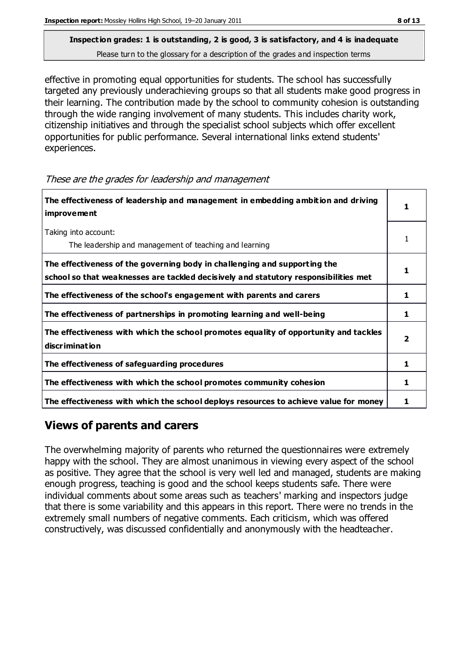effective in promoting equal opportunities for students. The school has successfully targeted any previously underachieving groups so that all students make good progress in their learning. The contribution made by the school to community cohesion is outstanding through the wide ranging involvement of many students. This includes charity work, citizenship initiatives and through the specialist school subjects which offer excellent opportunities for public performance. Several international links extend students' experiences.

These are the grades for leadership and management

| The effectiveness of leadership and management in embedding ambition and driving<br><i>improvement</i>                                                           |   |
|------------------------------------------------------------------------------------------------------------------------------------------------------------------|---|
| Taking into account:<br>The leadership and management of teaching and learning                                                                                   |   |
| The effectiveness of the governing body in challenging and supporting the<br>school so that weaknesses are tackled decisively and statutory responsibilities met |   |
| The effectiveness of the school's engagement with parents and carers                                                                                             | 1 |
| The effectiveness of partnerships in promoting learning and well-being                                                                                           | 1 |
| The effectiveness with which the school promotes equality of opportunity and tackles<br>discrimination                                                           | 2 |
| The effectiveness of safeguarding procedures                                                                                                                     | 1 |
| The effectiveness with which the school promotes community cohesion                                                                                              | 1 |
| The effectiveness with which the school deploys resources to achieve value for money                                                                             |   |

#### **Views of parents and carers**

The overwhelming majority of parents who returned the questionnaires were extremely happy with the school. They are almost unanimous in viewing every aspect of the school as positive. They agree that the school is very well led and managed, students are making enough progress, teaching is good and the school keeps students safe. There were individual comments about some areas such as teachers' marking and inspectors judge that there is some variability and this appears in this report. There were no trends in the extremely small numbers of negative comments. Each criticism, which was offered constructively, was discussed confidentially and anonymously with the headteacher.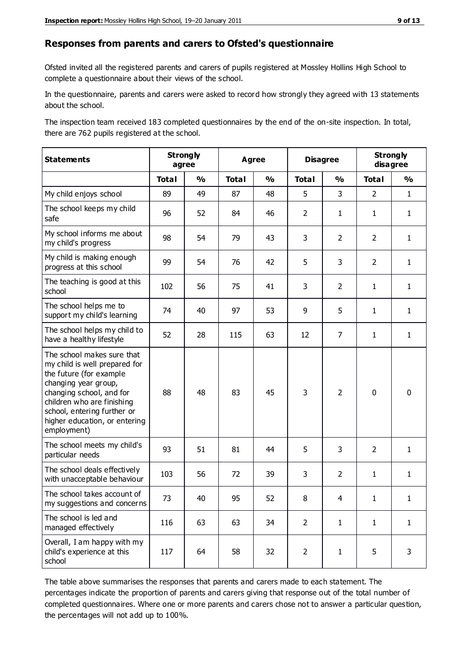#### **Responses from parents and carers to Ofsted's questionnaire**

Ofsted invited all the registered parents and carers of pupils registered at Mossley Hollins High School to complete a questionnaire about their views of the school.

In the questionnaire, parents and carers were asked to record how strongly they agreed with 13 statements about the school.

The inspection team received 183 completed questionnaires by the end of the on-site inspection. In total, there are 762 pupils registered at the school.

| <b>Statements</b>                                                                                                                                                                                                                                       | <b>Strongly</b><br>agree |               | <b>Agree</b> |               | <b>Disagree</b> |                | <b>Strongly</b><br>disagree |               |
|---------------------------------------------------------------------------------------------------------------------------------------------------------------------------------------------------------------------------------------------------------|--------------------------|---------------|--------------|---------------|-----------------|----------------|-----------------------------|---------------|
|                                                                                                                                                                                                                                                         | <b>Total</b>             | $\frac{0}{0}$ | <b>Total</b> | $\frac{0}{0}$ | <b>Total</b>    | $\frac{0}{0}$  | <b>Total</b>                | $\frac{0}{0}$ |
| My child enjoys school                                                                                                                                                                                                                                  | 89                       | 49            | 87           | 48            | 5               | 3              | $\overline{2}$              | $\mathbf{1}$  |
| The school keeps my child<br>safe                                                                                                                                                                                                                       | 96                       | 52            | 84           | 46            | $\overline{2}$  | $\mathbf{1}$   | $\mathbf{1}$                | $\mathbf{1}$  |
| My school informs me about<br>my child's progress                                                                                                                                                                                                       | 98                       | 54            | 79           | 43            | 3               | $\overline{2}$ | 2                           | $\mathbf{1}$  |
| My child is making enough<br>progress at this school                                                                                                                                                                                                    | 99                       | 54            | 76           | 42            | 5               | 3              | $\overline{2}$              | $\mathbf{1}$  |
| The teaching is good at this<br>school                                                                                                                                                                                                                  | 102                      | 56            | 75           | 41            | 3               | $\overline{2}$ | $\mathbf{1}$                | $\mathbf{1}$  |
| The school helps me to<br>support my child's learning                                                                                                                                                                                                   | 74                       | 40            | 97           | 53            | 9               | 5              | $\mathbf{1}$                | $\mathbf{1}$  |
| The school helps my child to<br>have a healthy lifestyle                                                                                                                                                                                                | 52                       | 28            | 115          | 63            | 12              | 7              | $\mathbf{1}$                | $\mathbf{1}$  |
| The school makes sure that<br>my child is well prepared for<br>the future (for example<br>changing year group,<br>changing school, and for<br>children who are finishing<br>school, entering further or<br>higher education, or entering<br>employment) | 88                       | 48            | 83           | 45            | 3               | $\overline{2}$ | $\mathbf 0$                 | $\mathbf 0$   |
| The school meets my child's<br>particular needs                                                                                                                                                                                                         | 93                       | 51            | 81           | 44            | 5               | 3              | $\overline{2}$              | $\mathbf{1}$  |
| The school deals effectively<br>with unacceptable behaviour                                                                                                                                                                                             | 103                      | 56            | 72           | 39            | 3               | $\overline{2}$ | $\mathbf{1}$                | $\mathbf{1}$  |
| The school takes account of<br>my suggestions and concerns                                                                                                                                                                                              | 73                       | 40            | 95           | 52            | 8               | 4              | 1                           | 1             |
| The school is led and<br>managed effectively                                                                                                                                                                                                            | 116                      | 63            | 63           | 34            | $\overline{2}$  | $\mathbf{1}$   | $\mathbf{1}$                | $\mathbf{1}$  |
| Overall, I am happy with my<br>child's experience at this<br>school                                                                                                                                                                                     | 117                      | 64            | 58           | 32            | $\overline{2}$  | $\mathbf{1}$   | 5                           | 3             |

The table above summarises the responses that parents and carers made to each statement. The percentages indicate the proportion of parents and carers giving that response out of the total number of completed questionnaires. Where one or more parents and carers chose not to answer a particular question, the percentages will not add up to 100%.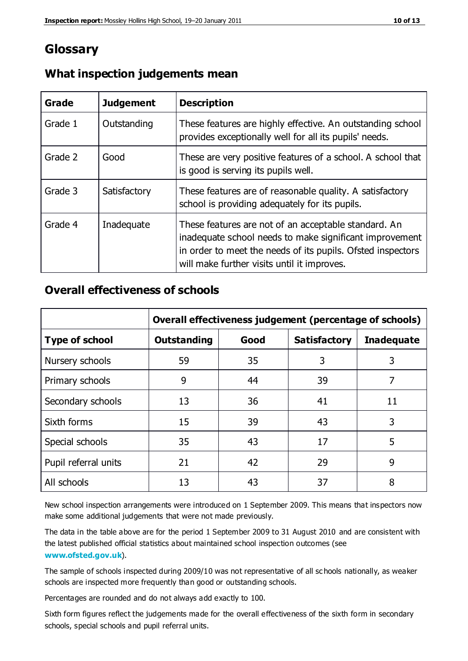## **Glossary**

| Grade   | <b>Judgement</b> | <b>Description</b>                                                                                                                                                                                                            |
|---------|------------------|-------------------------------------------------------------------------------------------------------------------------------------------------------------------------------------------------------------------------------|
| Grade 1 | Outstanding      | These features are highly effective. An outstanding school<br>provides exceptionally well for all its pupils' needs.                                                                                                          |
| Grade 2 | Good             | These are very positive features of a school. A school that<br>is good is serving its pupils well.                                                                                                                            |
| Grade 3 | Satisfactory     | These features are of reasonable quality. A satisfactory<br>school is providing adequately for its pupils.                                                                                                                    |
| Grade 4 | Inadequate       | These features are not of an acceptable standard. An<br>inadequate school needs to make significant improvement<br>in order to meet the needs of its pupils. Ofsted inspectors<br>will make further visits until it improves. |

#### **What inspection judgements mean**

#### **Overall effectiveness of schools**

|                       | Overall effectiveness judgement (percentage of schools) |      |                     |                   |
|-----------------------|---------------------------------------------------------|------|---------------------|-------------------|
| <b>Type of school</b> | <b>Outstanding</b>                                      | Good | <b>Satisfactory</b> | <b>Inadequate</b> |
| Nursery schools       | 59                                                      | 35   | 3                   | 3                 |
| Primary schools       | 9                                                       | 44   | 39                  | 7                 |
| Secondary schools     | 13                                                      | 36   | 41                  | 11                |
| Sixth forms           | 15                                                      | 39   | 43                  | 3                 |
| Special schools       | 35                                                      | 43   | 17                  | 5                 |
| Pupil referral units  | 21                                                      | 42   | 29                  | 9                 |
| All schools           | 13                                                      | 43   | 37                  | 8                 |

New school inspection arrangements were introduced on 1 September 2009. This means that inspectors now make some additional judgements that were not made previously.

The data in the table above are for the period 1 September 2009 to 31 August 2010 and are consistent with the latest published official statistics about maintained school inspection outcomes (see **[www.ofsted.gov.uk](http://www.ofsted.gov.uk/)**).

The sample of schools inspected during 2009/10 was not representative of all sc hools nationally, as weaker schools are inspected more frequently than good or outstanding schools.

Percentages are rounded and do not always add exactly to 100.

Sixth form figures reflect the judgements made for the overall effectiveness of the sixth form in secondary schools, special schools and pupil referral units.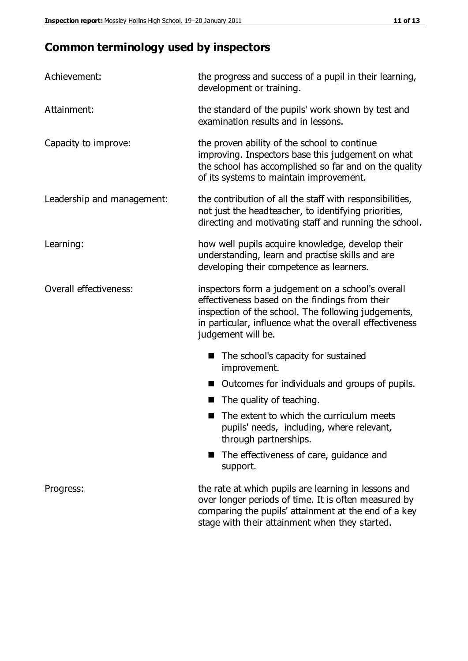# **Common terminology used by inspectors**

| Achievement:               | the progress and success of a pupil in their learning,<br>development or training.                                                                                                                                                          |  |  |
|----------------------------|---------------------------------------------------------------------------------------------------------------------------------------------------------------------------------------------------------------------------------------------|--|--|
| Attainment:                | the standard of the pupils' work shown by test and<br>examination results and in lessons.                                                                                                                                                   |  |  |
| Capacity to improve:       | the proven ability of the school to continue<br>improving. Inspectors base this judgement on what<br>the school has accomplished so far and on the quality<br>of its systems to maintain improvement.                                       |  |  |
| Leadership and management: | the contribution of all the staff with responsibilities,<br>not just the headteacher, to identifying priorities,<br>directing and motivating staff and running the school.                                                                  |  |  |
| Learning:                  | how well pupils acquire knowledge, develop their<br>understanding, learn and practise skills and are<br>developing their competence as learners.                                                                                            |  |  |
| Overall effectiveness:     | inspectors form a judgement on a school's overall<br>effectiveness based on the findings from their<br>inspection of the school. The following judgements,<br>in particular, influence what the overall effectiveness<br>judgement will be. |  |  |
|                            | The school's capacity for sustained<br>improvement.                                                                                                                                                                                         |  |  |
|                            | Outcomes for individuals and groups of pupils.                                                                                                                                                                                              |  |  |
|                            | The quality of teaching.                                                                                                                                                                                                                    |  |  |
|                            | The extent to which the curriculum meets<br>pupils' needs, including, where relevant,<br>through partnerships.                                                                                                                              |  |  |
|                            | The effectiveness of care, guidance and<br>support.                                                                                                                                                                                         |  |  |
| Progress:                  | the rate at which pupils are learning in lessons and<br>over longer periods of time. It is often measured by<br>comparing the pupils' attainment at the end of a key                                                                        |  |  |

stage with their attainment when they started.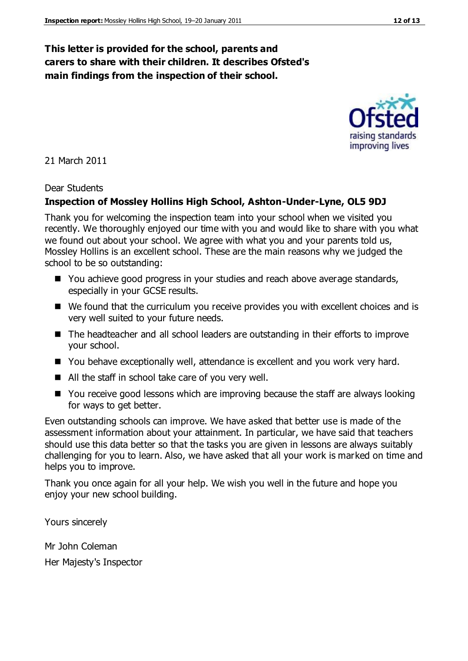#### **This letter is provided for the school, parents and carers to share with their children. It describes Ofsted's main findings from the inspection of their school.**

21 March 2011

#### Dear Students

#### **Inspection of Mossley Hollins High School, Ashton-Under-Lyne, OL5 9DJ**

Thank you for welcoming the inspection team into your school when we visited you recently. We thoroughly enjoyed our time with you and would like to share with you what we found out about your school. We agree with what you and your parents told us, Mossley Hollins is an excellent school. These are the main reasons why we judged the school to be so outstanding:

- You achieve good progress in your studies and reach above average standards, especially in your GCSE results.
- We found that the curriculum you receive provides you with excellent choices and is very well suited to your future needs.
- The headteacher and all school leaders are outstanding in their efforts to improve your school.
- You behave exceptionally well, attendance is excellent and you work very hard.
- All the staff in school take care of you very well.
- You receive good lessons which are improving because the staff are always looking for ways to get better.

Even outstanding schools can improve. We have asked that better use is made of the assessment information about your attainment. In particular, we have said that teachers should use this data better so that the tasks you are given in lessons are always suitably challenging for you to learn. Also, we have asked that all your work is marked on time and helps you to improve.

Thank you once again for all your help. We wish you well in the future and hope you enjoy your new school building.

Yours sincerely

Mr John Coleman Her Majesty's Inspector